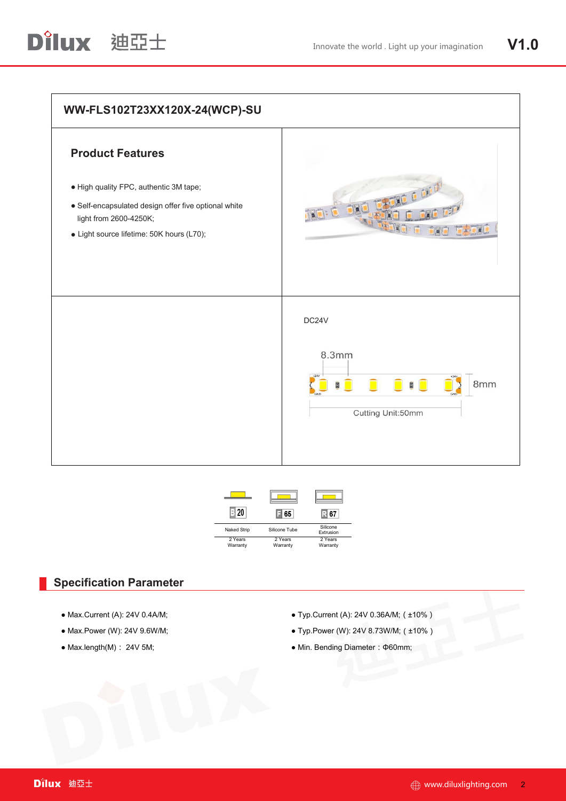



## **Specification Parameter**

- 
- 
- 
- Max.Current (A): 24V 0.4A/M; Typ.Current (A): 24V 0.36A/M;(±10%)
- Max. Power (W): 24V 9.6W/M; example and the state of the Typ. Power (W): 24V 8.73W/M; (±10%)
- $\bullet$  Max.length(M): 24V 5M; example and a matrix of Min. Bending Diameter: Φ60mm;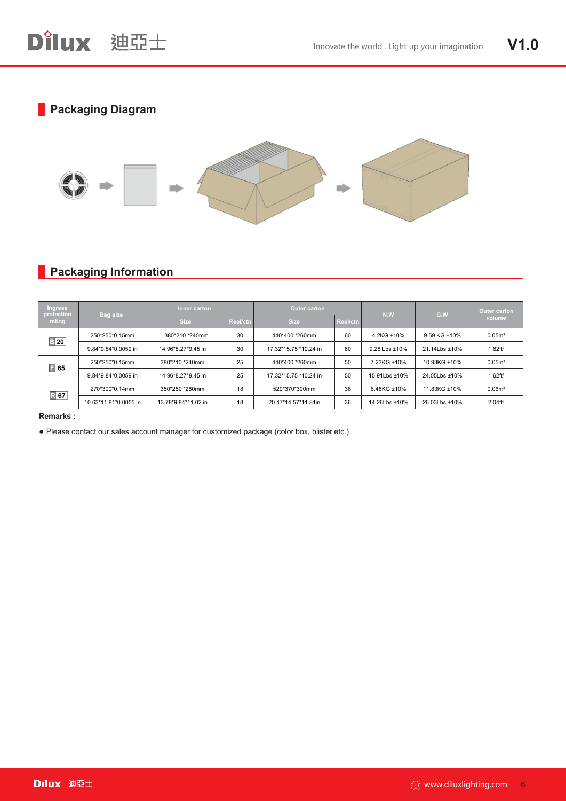

## **Backaging Information**

| <b>Ingress</b><br>protection<br>rating | <b>Bag size</b>       | Inner carton |          | Outer carton          |          |               |               | Outer carton         |
|----------------------------------------|-----------------------|--------------|----------|-----------------------|----------|---------------|---------------|----------------------|
|                                        |                       | <b>Size</b>  | Reel/ctn | <b>Size</b>           | Reel/ctn | N.W           | G.W           | volume               |
| $\boxed{3}$ 20                         | 250*270*0.14mm        |              |          | 440*400 *260mm        | 60       | 4.2KG ±10%    | 9.59 KG ±10%  | 0.05 <sup>m</sup>    |
|                                        | 9.84*10.63*0.0056 in  |              |          | 17.32*15.75 *10.24 in | 60       | 9.25 Lbs ±10% | 21.14Lbs ±10% | 1.62ff <sup>3</sup>  |
| $\boxed{ }$ 65                         | 250*270*0.14mm        |              |          | 440*400 *260mm        | 50       | 7.23KG ±10%   | 10.93KG ±10%  | 0.05 <sup>m</sup>    |
|                                        | 9.84*10.63*0.0056 in  |              |          | 17.32*15.75 *10.24 in | 50       | 15.91Lbs ±10% | 24.05Lbs ±10% | 1.62 ft <sup>3</sup> |
| <b>R67</b>                             | 270*300*0.14mm        |              |          | 520*370*300mm         | 36       | 6.48KG ±10%   | 11.83KG ±10%  | 0.06m <sup>3</sup>   |
|                                        | 10.63*11.81*0.0055 in |              |          | 20.47*14.57*11.81in   | 36       | 14.26Lbs ±10% | 26.03Lbs ±10% | 2.04 <sup>4</sup>    |